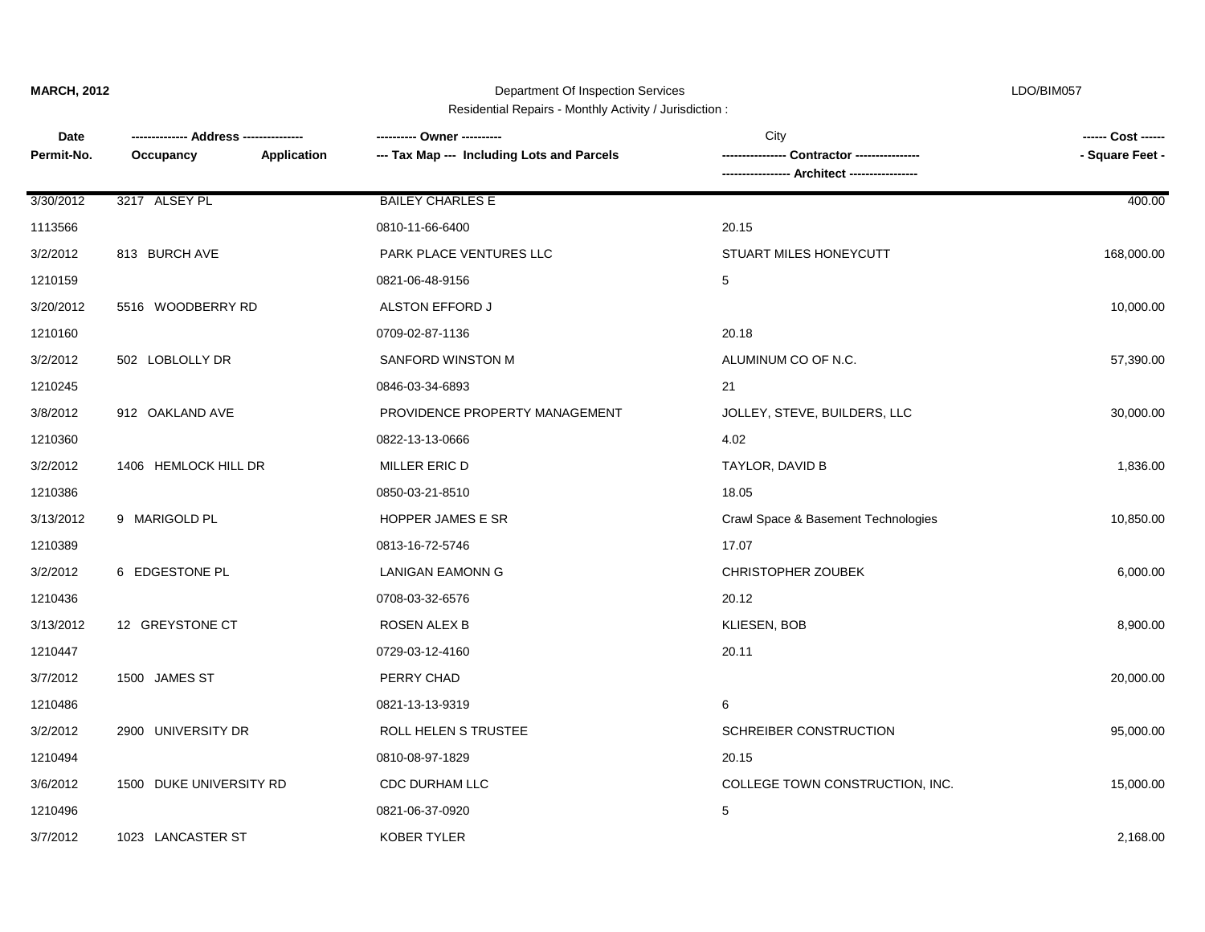Department Of Inspection Services LDO/BIM057

| Residential Repairs - Monthly Activity / Jurisdiction : |  |
|---------------------------------------------------------|--|
|---------------------------------------------------------|--|

| Date<br>Permit-No. | Application<br>Occupancy | --- Tax Map --- Including Lots and Parcels | City<br>Contractor ---------------- | ------ Cost ------<br>- Square Feet - |
|--------------------|--------------------------|--------------------------------------------|-------------------------------------|---------------------------------------|
| 3/30/2012          | 3217 ALSEY PL            | <b>BAILEY CHARLES E</b>                    |                                     | 400.00                                |
| 1113566            |                          | 0810-11-66-6400                            | 20.15                               |                                       |
| 3/2/2012           | 813 BURCH AVE            | PARK PLACE VENTURES LLC                    | STUART MILES HONEYCUTT              | 168,000.00                            |
| 1210159            |                          | 0821-06-48-9156                            | 5                                   |                                       |
| 3/20/2012          | 5516 WOODBERRY RD        | ALSTON EFFORD J                            |                                     | 10,000.00                             |
| 1210160            |                          | 0709-02-87-1136                            | 20.18                               |                                       |
| 3/2/2012           | 502 LOBLOLLY DR          | SANFORD WINSTON M                          | ALUMINUM CO OF N.C.                 | 57,390.00                             |
| 1210245            |                          | 0846-03-34-6893                            | 21                                  |                                       |
| 3/8/2012           | 912 OAKLAND AVE          | PROVIDENCE PROPERTY MANAGEMENT             | JOLLEY, STEVE, BUILDERS, LLC        | 30,000.00                             |
| 1210360            |                          | 0822-13-13-0666                            | 4.02                                |                                       |
| 3/2/2012           | 1406 HEMLOCK HILL DR     | MILLER ERIC D                              | TAYLOR, DAVID B                     | 1,836.00                              |
| 1210386            |                          | 0850-03-21-8510                            | 18.05                               |                                       |
| 3/13/2012          | 9 MARIGOLD PL            | HOPPER JAMES E SR                          | Crawl Space & Basement Technologies | 10,850.00                             |
| 1210389            |                          | 0813-16-72-5746                            | 17.07                               |                                       |
| 3/2/2012           | 6 EDGESTONE PL           | LANIGAN EAMONN G                           | <b>CHRISTOPHER ZOUBEK</b>           | 6,000.00                              |
| 1210436            |                          | 0708-03-32-6576                            | 20.12                               |                                       |
| 3/13/2012          | 12 GREYSTONE CT          | ROSEN ALEX B                               | KLIESEN, BOB                        | 8,900.00                              |
| 1210447            |                          | 0729-03-12-4160                            | 20.11                               |                                       |
| 3/7/2012           | 1500 JAMES ST            | PERRY CHAD                                 |                                     | 20,000.00                             |
| 1210486            |                          | 0821-13-13-9319                            | 6                                   |                                       |
| 3/2/2012           | 2900 UNIVERSITY DR       | ROLL HELEN S TRUSTEE                       | SCHREIBER CONSTRUCTION              | 95,000.00                             |
| 1210494            |                          | 0810-08-97-1829                            | 20.15                               |                                       |
| 3/6/2012           | 1500 DUKE UNIVERSITY RD  | CDC DURHAM LLC                             | COLLEGE TOWN CONSTRUCTION, INC.     | 15,000.00                             |
| 1210496            |                          | 0821-06-37-0920                            | 5                                   |                                       |
| 3/7/2012           | 1023 LANCASTER ST        | KOBER TYLER                                |                                     | 2,168.00                              |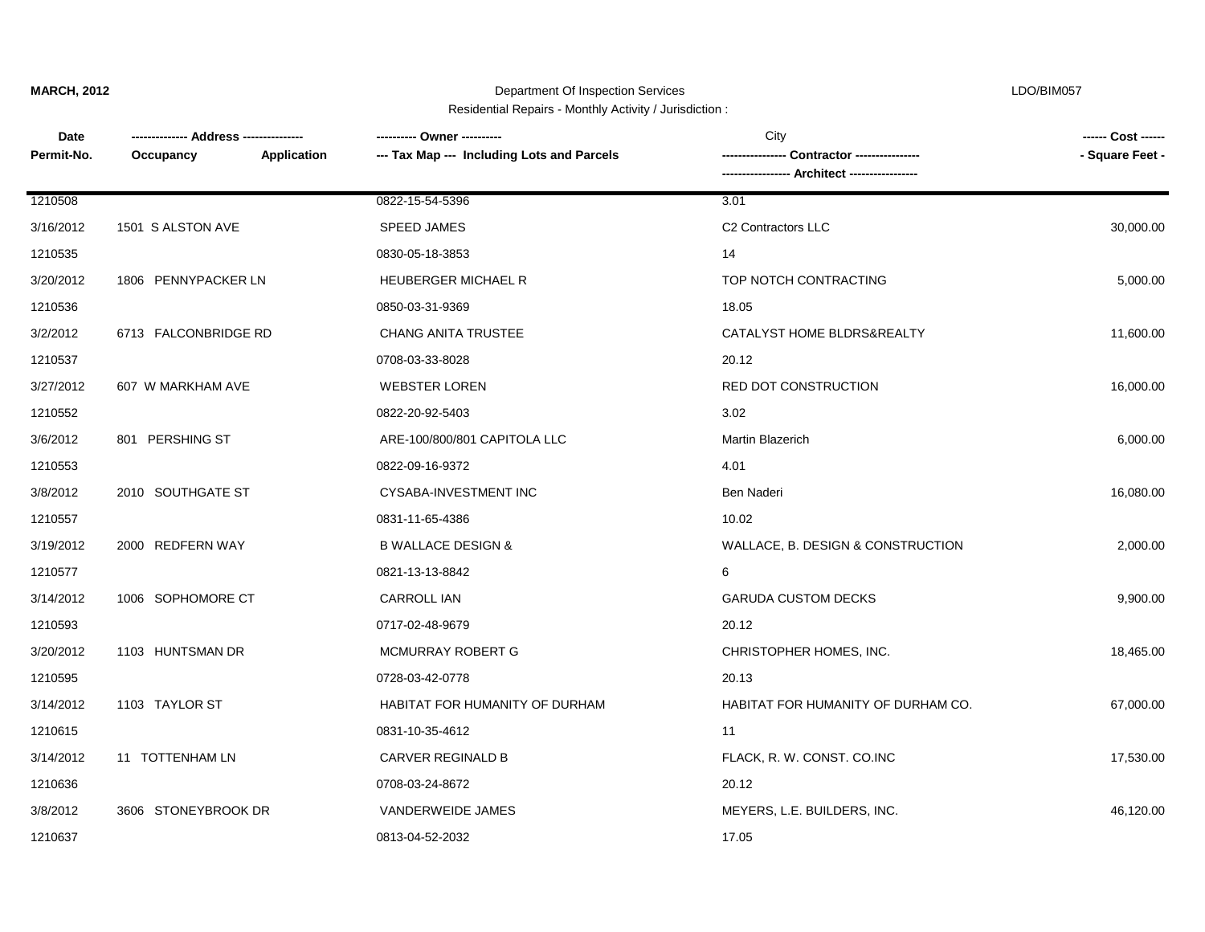Department Of Inspection Services LDO/BIM057 Residential Repairs - Monthly Activity / Jurisdiction :

| Date       |                          | ---------- Owner ----------                | City                               | ------ Cost ------ |
|------------|--------------------------|--------------------------------------------|------------------------------------|--------------------|
| Permit-No. | Application<br>Occupancy | --- Tax Map --- Including Lots and Parcels | Contractor ----------------        | - Square Feet -    |
|            |                          |                                            | -- Architect -----------------     |                    |
| 1210508    |                          | 0822-15-54-5396                            | 3.01                               |                    |
| 3/16/2012  | 1501 S ALSTON AVE        | <b>SPEED JAMES</b>                         | C <sub>2</sub> Contractors LLC     | 30,000.00          |
| 1210535    |                          | 0830-05-18-3853                            | 14                                 |                    |
| 3/20/2012  | 1806 PENNYPACKER LN      | <b>HEUBERGER MICHAEL R</b>                 | TOP NOTCH CONTRACTING              | 5,000.00           |
| 1210536    |                          | 0850-03-31-9369                            | 18.05                              |                    |
| 3/2/2012   | 6713 FALCONBRIDGE RD     | <b>CHANG ANITA TRUSTEE</b>                 | CATALYST HOME BLDRS&REALTY         | 11,600.00          |
| 1210537    |                          | 0708-03-33-8028                            | 20.12                              |                    |
| 3/27/2012  | 607 W MARKHAM AVE        | <b>WEBSTER LOREN</b>                       | RED DOT CONSTRUCTION               | 16,000.00          |
| 1210552    |                          | 0822-20-92-5403                            | 3.02                               |                    |
| 3/6/2012   | 801 PERSHING ST          | ARE-100/800/801 CAPITOLA LLC               | <b>Martin Blazerich</b>            | 6,000.00           |
| 1210553    |                          | 0822-09-16-9372                            | 4.01                               |                    |
| 3/8/2012   | 2010 SOUTHGATE ST        | CYSABA-INVESTMENT INC                      | Ben Naderi                         | 16,080.00          |
| 1210557    |                          | 0831-11-65-4386                            | 10.02                              |                    |
| 3/19/2012  | 2000 REDFERN WAY         | <b>B WALLACE DESIGN &amp;</b>              | WALLACE, B. DESIGN & CONSTRUCTION  | 2,000.00           |
| 1210577    |                          | 0821-13-13-8842                            | 6                                  |                    |
| 3/14/2012  | 1006 SOPHOMORE CT        | CARROLL IAN                                | <b>GARUDA CUSTOM DECKS</b>         | 9,900.00           |
| 1210593    |                          | 0717-02-48-9679                            | 20.12                              |                    |
| 3/20/2012  | 1103 HUNTSMAN DR         | MCMURRAY ROBERT G                          | CHRISTOPHER HOMES, INC.            | 18,465.00          |
| 1210595    |                          | 0728-03-42-0778                            | 20.13                              |                    |
| 3/14/2012  | 1103 TAYLOR ST           | HABITAT FOR HUMANITY OF DURHAM             | HABITAT FOR HUMANITY OF DURHAM CO. | 67,000.00          |
| 1210615    |                          | 0831-10-35-4612                            | 11                                 |                    |
| 3/14/2012  | 11 TOTTENHAM LN          | CARVER REGINALD B                          | FLACK, R. W. CONST. CO.INC         | 17,530.00          |
| 1210636    |                          | 0708-03-24-8672                            | 20.12                              |                    |
| 3/8/2012   | 3606 STONEYBROOK DR      | VANDERWEIDE JAMES                          | MEYERS, L.E. BUILDERS, INC.        | 46,120.00          |
| 1210637    |                          | 0813-04-52-2032                            | 17.05                              |                    |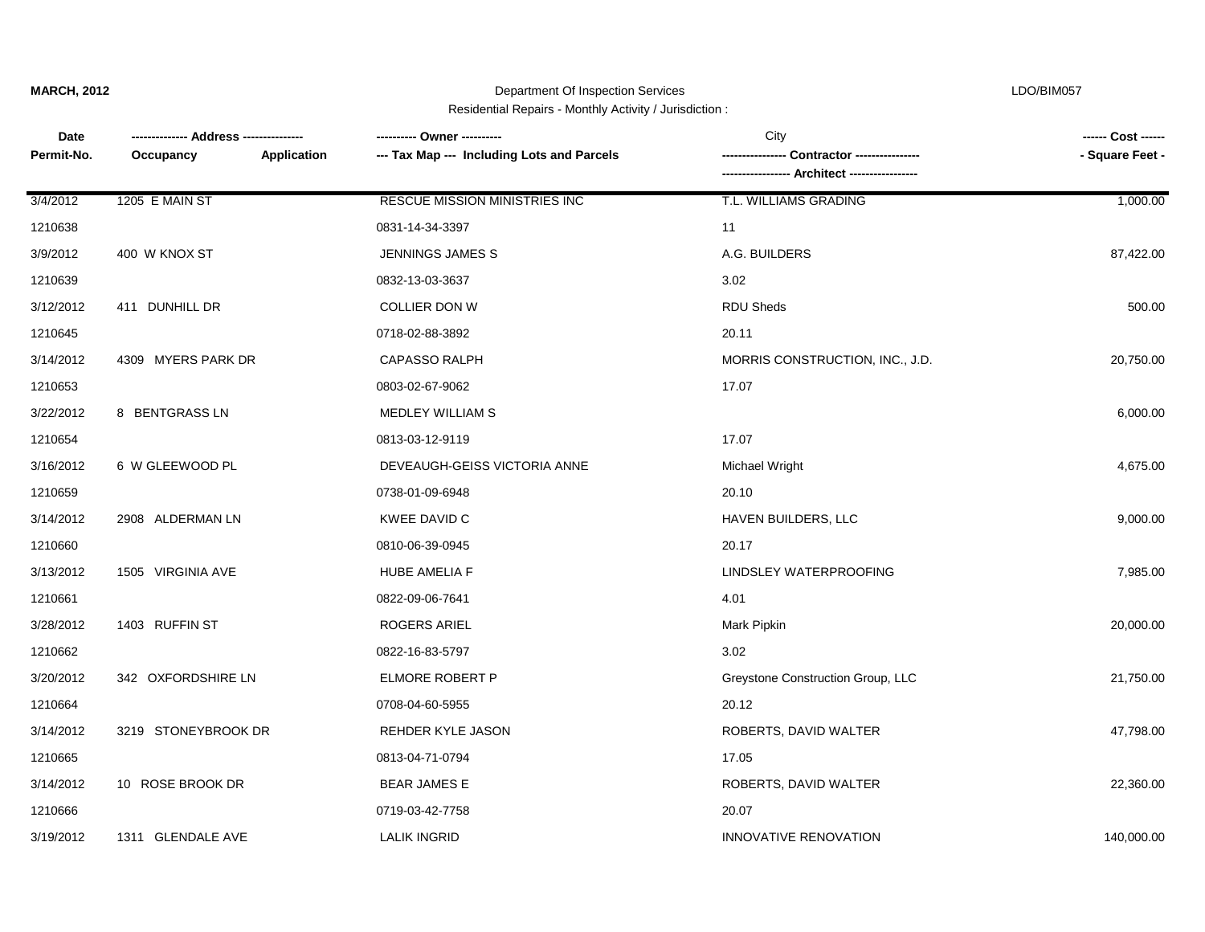Department Of Inspection Services LDO/BIM057 Residential Repairs - Monthly Activity / Jurisdiction :

**Date Occupancy ----------------- Architect ----------------- -------------- Address --------------- ---------- Owner ----------** City **------ Cost ------** Permit-No. Occupancy **Application --- Tax Map --- Including Lots and Parcels ----------------- Contractor -------------------- - Square Feet -**3/19/2012 1311 GLENDALE AVE LALIK INGRID INNOVATIVE RENOVATION 140,000.00 1210666 0719-03-42-7758 20.07 3/14/2012 10 ROSE BROOK DR BEAR JAMES E ROBERTS, DAVID WALTER 22,360.00 1210665 0813-04-71-0794 17.05 3/14/2012 3219 STONEYBROOK DR REHDER KYLE JASON ROBERTS, DAVID WALTER 47,798.00 1210664 0708-04-60-5955 20.12 3/20/2012 342 OXFORDSHIRE LN ELMORE ROBERT P Greystone Construction Group, LLC 21,750.00 1210662 0822-16-83-5797 3.02 3/28/2012 1403 RUFFIN ST ROGERS ARIEL Mark Pipkin 20,000.00 1210661 0822-09-06-7641 4.01 3/13/2012 1505 VIRGINIA AVE HUBE AMELIA F LINDSLEY WATERPROOFING 7,985.00 1210660 0810-06-39-0945 20.17 3/14/2012 2908 ALDERMAN LN KWEE DAVID C HAVEN BUILDERS, LLC 9,000.00 1210659 0738-01-09-6948 20.10 3/16/2012 6 W GLEEWOOD PL DEVEAUGH-GEISS VICTORIA ANNE Michael Wright 4,675.00 1210654 0813-03-12-9119 17.07 3/22/2012 8 BENTGRASS LN MEDLEY WILLIAM S 6,000.00 1210653 0803-02-67-9062 17.07 3/14/2012 4309 MYERS PARK DR CAPASSO RALPH MORRIS CONSTRUCTION, INC., J.D. 20,750.00 1210645 0718-02-88-3892 20.11 3/12/2012 411 DUNHILL DR COLLIER DON W RDU Sheds 500.00 1210639 0832-13-03-3637 3.02 3/9/2012 400 W KNOX ST JENNINGS JAMES S A.G. BUILDERS 87,422.00 1210638 0831-14-34-3397 11 3/4/2012 1205 E MAIN ST RESCUE MISSION MINISTRIES INC T.L. WILLIAMS GRADING 1,000.00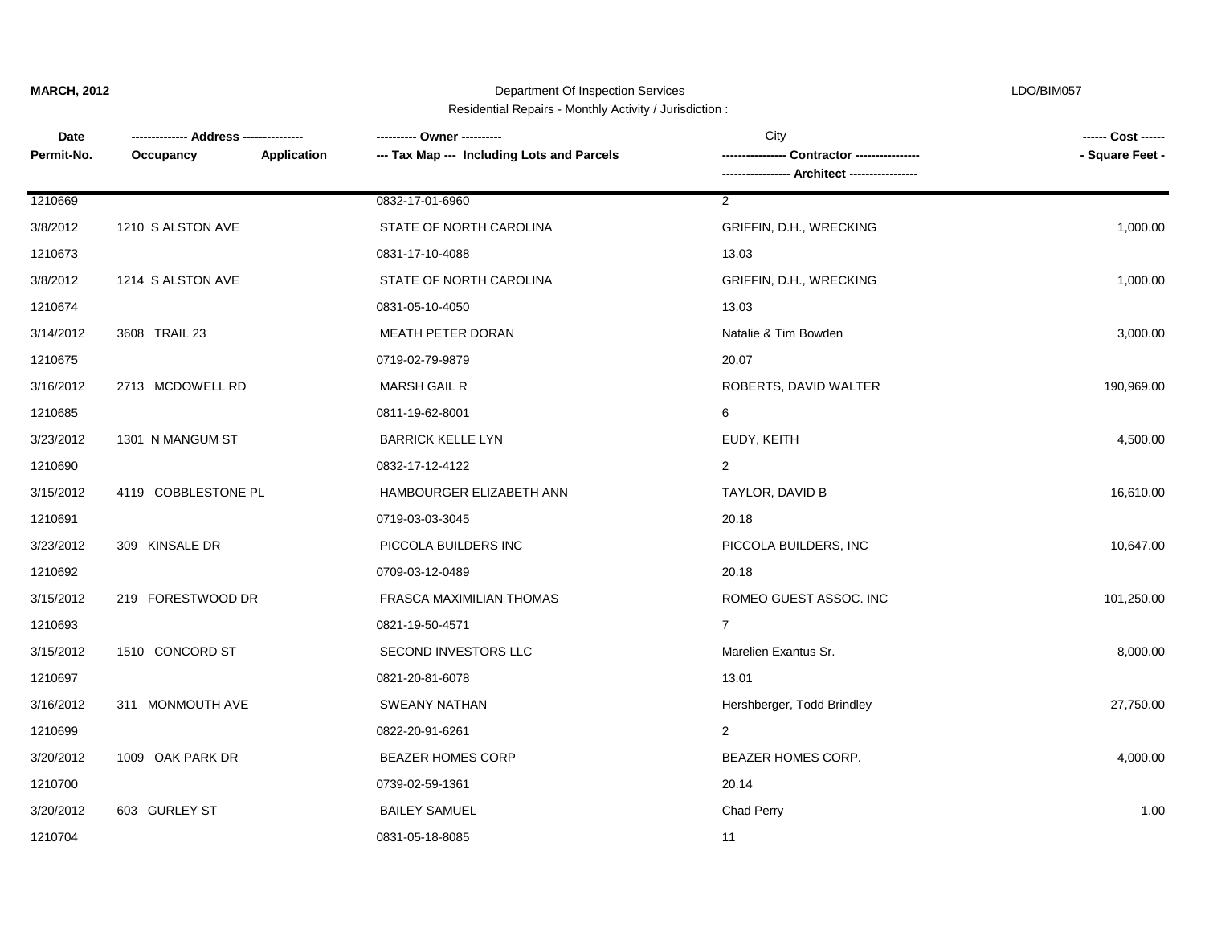Department Of Inspection Services LDO/BIM057 Residential Repairs - Monthly Activity / Jurisdiction :

**Date Occupancy ----------------- Architect ----------------- -------------- Address --------------- ---------- Owner ----------** City **------ Cost ------** Permit-No. Occupancy **Application --- Tax Map --- Including Lots and Parcels ----------------- Contractor ------------------**1210700 0739-02-59-1361 20.14 3/20/2012 1009 OAK PARK DR BEAZER HOMES CORP BEAZER HOMES CORP. 4,000.00 1210699 0822-20-91-6261 2 3/16/2012 311 MONMOUTH AVE SWEANY NATHAN Hershberger, Todd Brindley 27,750.00 1210697 0821-20-81-6078 13.01 3/15/2012 1510 CONCORD ST SECOND INVESTORS LLC Marelien Exantus Sr. Sancton St. 8,000.00 1210693 0821-19-50-4571 7 3/15/2012 219 FORESTWOOD DR FRASCA MAXIMILIAN THOMAS ROMEO GUEST ASSOC. INC 2010 250.00 1210692 0709-03-12-0489 20.18 3/23/2012 309 KINSALE DR PICCOLA BUILDERS INC PICCOLA BUILDERS, INC 10,647.00 1210691 0719-03-03-3045 20.18 3/15/2012 4119 COBBLESTONE PL HAMBOURGER ELIZABETH ANN TAYLOR, DAVID B 16,610.00 1210690 0832-17-12-4122 2 3/23/2012 1301 N MANGUM ST BARRICK KELLE LYN EUDY, KEITH 4,500.00 1210685 0811-19-62-8001 6 3/16/2012 2713 MCDOWELL RD MARSH GAIL R MARSH GAIL R ROBERTS, DAVID WALTER 190,969.00 1210675 0719-02-79-9879 20.07 3/14/2012 3608 TRAIL 23 **MEATH PETER DORAN** Natalie & Tim Bowden 3,000.00 3,000.00 1210674 0831-05-10-4050 13.03 3/8/2012 1214 S ALSTON AVE STATE OF NORTH CAROLINA GRIFFIN, D.H., WRECKING 1,000.00 1210673 0831-17-10-4088 13.03 3/8/2012 1210 S ALSTON AVE STATE OF NORTH CAROLINA GRIFFIN, D.H., WRECKING 1,000.00 1210669 0832-17-01-6960 2

3/20/2012 603 GURLEY ST BAILEY SAMUEL Chad Perry 1.00

1210704 0831-05-18-8085 11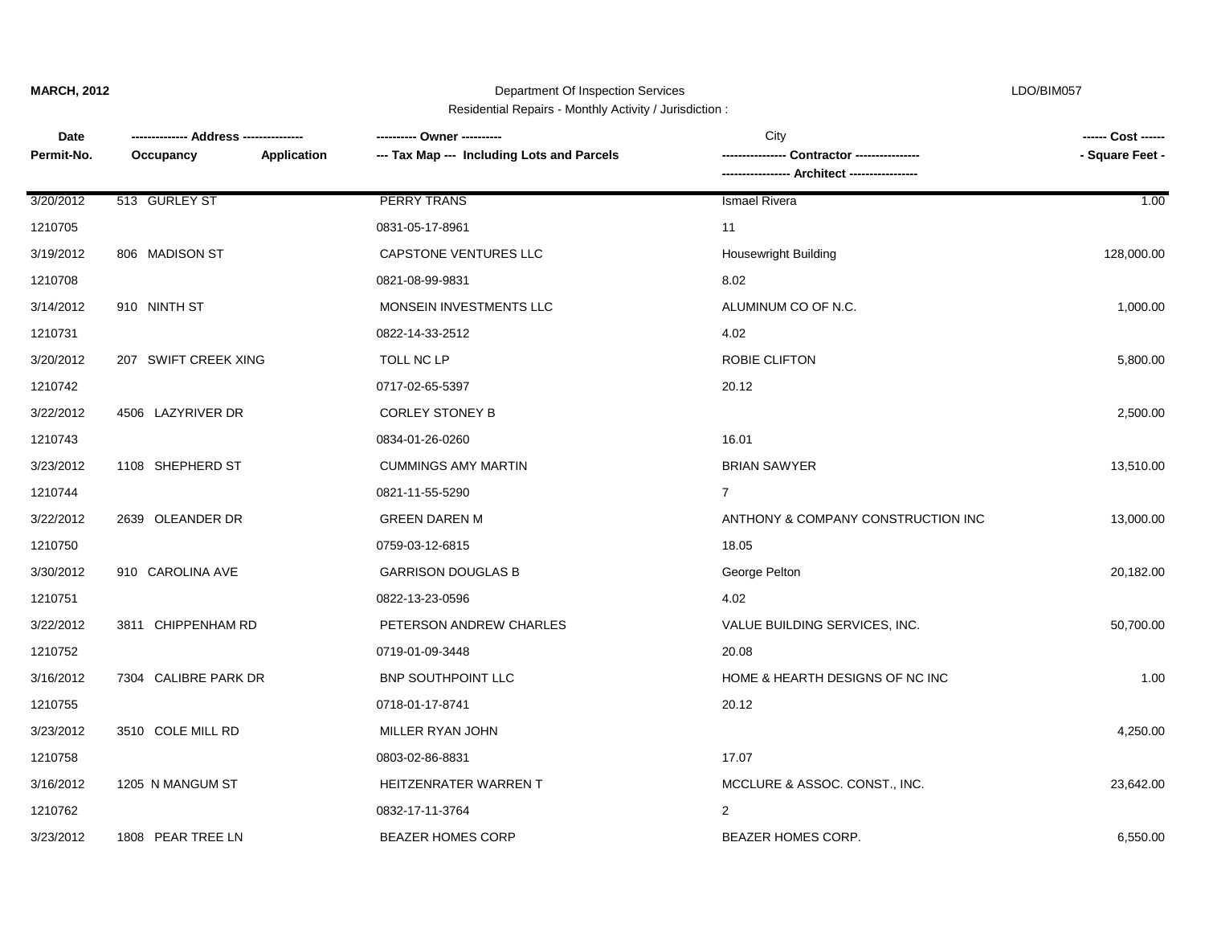## Department Of Inspection Services LDO/BIM057

Residential Repairs - Monthly Activity / Jurisdiction :

| Date       |                          | ---------- Owner ----------                | City                               | ------ Cost ------ |
|------------|--------------------------|--------------------------------------------|------------------------------------|--------------------|
| Permit-No. | Application<br>Occupancy | --- Tax Map --- Including Lots and Parcels | Contractor ----------------        | - Square Feet -    |
|            |                          |                                            |                                    |                    |
| 3/20/2012  | 513 GURLEY ST            | <b>PERRY TRANS</b>                         | <b>Ismael Rivera</b>               | 1.00               |
| 1210705    |                          | 0831-05-17-8961                            | 11                                 |                    |
| 3/19/2012  | 806 MADISON ST           | CAPSTONE VENTURES LLC                      | <b>Housewright Building</b>        | 128,000.00         |
| 1210708    |                          | 0821-08-99-9831                            | 8.02                               |                    |
| 3/14/2012  | 910 NINTH ST             | MONSEIN INVESTMENTS LLC                    | ALUMINUM CO OF N.C.                | 1,000.00           |
| 1210731    |                          | 0822-14-33-2512                            | 4.02                               |                    |
| 3/20/2012  | 207 SWIFT CREEK XING     | TOLL NC LP                                 | ROBIE CLIFTON                      | 5,800.00           |
| 1210742    |                          | 0717-02-65-5397                            | 20.12                              |                    |
| 3/22/2012  | 4506 LAZYRIVER DR        | <b>CORLEY STONEY B</b>                     |                                    | 2,500.00           |
| 1210743    |                          | 0834-01-26-0260                            | 16.01                              |                    |
| 3/23/2012  | 1108 SHEPHERD ST         | <b>CUMMINGS AMY MARTIN</b>                 | <b>BRIAN SAWYER</b>                | 13,510.00          |
| 1210744    |                          | 0821-11-55-5290                            | $\overline{7}$                     |                    |
| 3/22/2012  | 2639 OLEANDER DR         | <b>GREEN DAREN M</b>                       | ANTHONY & COMPANY CONSTRUCTION INC | 13,000.00          |
| 1210750    |                          | 0759-03-12-6815                            | 18.05                              |                    |
| 3/30/2012  | 910 CAROLINA AVE         | <b>GARRISON DOUGLAS B</b>                  | George Pelton                      | 20,182.00          |
| 1210751    |                          | 0822-13-23-0596                            | 4.02                               |                    |
| 3/22/2012  | 3811 CHIPPENHAM RD       | PETERSON ANDREW CHARLES                    | VALUE BUILDING SERVICES, INC.      | 50,700.00          |
| 1210752    |                          | 0719-01-09-3448                            | 20.08                              |                    |
| 3/16/2012  | 7304 CALIBRE PARK DR     | <b>BNP SOUTHPOINT LLC</b>                  | HOME & HEARTH DESIGNS OF NC INC    | 1.00               |
| 1210755    |                          | 0718-01-17-8741                            | 20.12                              |                    |
| 3/23/2012  | 3510 COLE MILL RD        | MILLER RYAN JOHN                           |                                    | 4,250.00           |
| 1210758    |                          | 0803-02-86-8831                            | 17.07                              |                    |
| 3/16/2012  | 1205 N MANGUM ST         | HEITZENRATER WARREN T                      | MCCLURE & ASSOC. CONST., INC.      | 23,642.00          |
| 1210762    |                          | 0832-17-11-3764                            | 2                                  |                    |
| 3/23/2012  | 1808 PEAR TREE LN        | <b>BEAZER HOMES CORP</b>                   | BEAZER HOMES CORP.                 | 6,550.00           |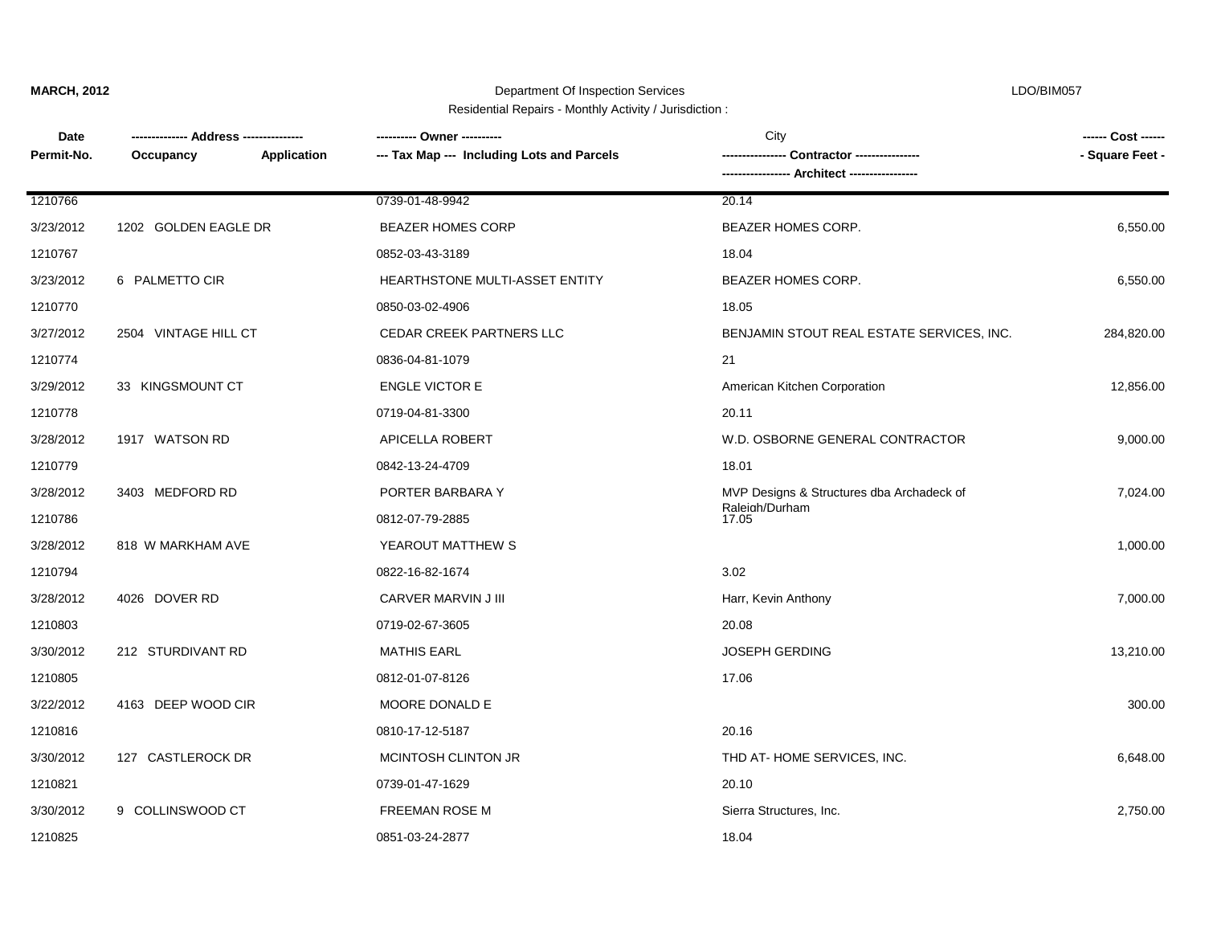Department Of Inspection Services LDO/BIM057 Residential Repairs - Monthly Activity / Jurisdiction :

| <b>Date</b> |                      |             | ---------- Owner ----------                | City                                      | ------ Cost ------ |
|-------------|----------------------|-------------|--------------------------------------------|-------------------------------------------|--------------------|
| Permit-No.  | Occupancy            | Application | --- Tax Map --- Including Lots and Parcels |                                           | - Square Feet -    |
|             |                      |             |                                            |                                           |                    |
| 1210766     |                      |             | 0739-01-48-9942                            | 20.14                                     |                    |
| 3/23/2012   | 1202 GOLDEN EAGLE DR |             | <b>BEAZER HOMES CORP</b>                   | <b>BEAZER HOMES CORP.</b>                 | 6,550.00           |
| 1210767     |                      |             | 0852-03-43-3189                            | 18.04                                     |                    |
| 3/23/2012   | 6 PALMETTO CIR       |             | HEARTHSTONE MULTI-ASSET ENTITY             | BEAZER HOMES CORP.                        | 6,550.00           |
| 1210770     |                      |             | 0850-03-02-4906                            | 18.05                                     |                    |
| 3/27/2012   | 2504 VINTAGE HILL CT |             | CEDAR CREEK PARTNERS LLC                   | BENJAMIN STOUT REAL ESTATE SERVICES, INC. | 284,820.00         |
| 1210774     |                      |             | 0836-04-81-1079                            | 21                                        |                    |
| 3/29/2012   | 33 KINGSMOUNT CT     |             | <b>ENGLE VICTOR E</b>                      | American Kitchen Corporation              | 12,856.00          |
| 1210778     |                      |             | 0719-04-81-3300                            | 20.11                                     |                    |
| 3/28/2012   | 1917 WATSON RD       |             | <b>APICELLA ROBERT</b>                     | W.D. OSBORNE GENERAL CONTRACTOR           | 9,000.00           |
| 1210779     |                      |             | 0842-13-24-4709                            | 18.01                                     |                    |
| 3/28/2012   | 3403 MEDFORD RD      |             | PORTER BARBARA Y                           | MVP Designs & Structures dba Archadeck of | 7,024.00           |
| 1210786     |                      |             | 0812-07-79-2885                            | Raleigh/Durham<br>17.05                   |                    |
| 3/28/2012   | 818 W MARKHAM AVE    |             | YEAROUT MATTHEW S                          |                                           | 1,000.00           |
| 1210794     |                      |             | 0822-16-82-1674                            | 3.02                                      |                    |
| 3/28/2012   | 4026 DOVER RD        |             | CARVER MARVIN J III                        | Harr, Kevin Anthony                       | 7,000.00           |
| 1210803     |                      |             | 0719-02-67-3605                            | 20.08                                     |                    |
| 3/30/2012   | 212 STURDIVANT RD    |             | <b>MATHIS EARL</b>                         | <b>JOSEPH GERDING</b>                     | 13,210.00          |
| 1210805     |                      |             | 0812-01-07-8126                            | 17.06                                     |                    |
| 3/22/2012   | 4163 DEEP WOOD CIR   |             | MOORE DONALD E                             |                                           | 300.00             |
| 1210816     |                      |             | 0810-17-12-5187                            | 20.16                                     |                    |
| 3/30/2012   | 127 CASTLEROCK DR    |             | MCINTOSH CLINTON JR                        | THD AT-HOME SERVICES, INC.                | 6,648.00           |
| 1210821     |                      |             | 0739-01-47-1629                            | 20.10                                     |                    |
| 3/30/2012   | 9 COLLINSWOOD CT     |             | <b>FREEMAN ROSE M</b>                      | Sierra Structures, Inc.                   | 2,750.00           |

1210825 0851-03-24-2877 18.04